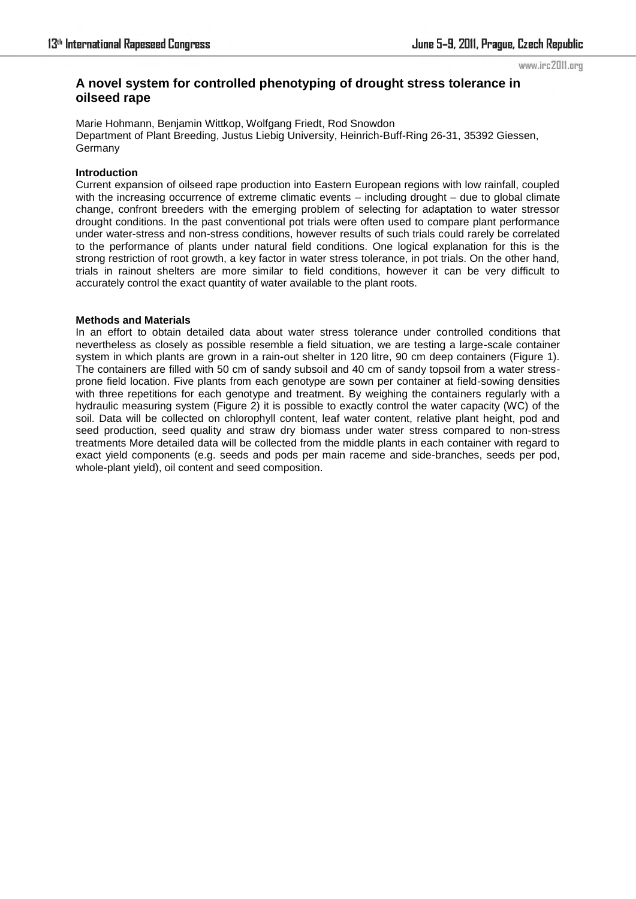#### www.irc2011.org

# **A novel system for controlled phenotyping of drought stress tolerance in oilseed rape**

Marie Hohmann, Benjamin Wittkop, Wolfgang Friedt, Rod Snowdon Department of Plant Breeding, Justus Liebig University, Heinrich-Buff-Ring 26-31, 35392 Giessen, **Germany** 

### **Introduction**

Current expansion of oilseed rape production into Eastern European regions with low rainfall, coupled with the increasing occurrence of extreme climatic events – including drought – due to global climate change, confront breeders with the emerging problem of selecting for adaptation to water stressor drought conditions. In the past conventional pot trials were often used to compare plant performance under water-stress and non-stress conditions, however results of such trials could rarely be correlated to the performance of plants under natural field conditions. One logical explanation for this is the strong restriction of root growth, a key factor in water stress tolerance, in pot trials. On the other hand, trials in rainout shelters are more similar to field conditions, however it can be very difficult to accurately control the exact quantity of water available to the plant roots.

#### **Methods and Materials**

In an effort to obtain detailed data about water stress tolerance under controlled conditions that nevertheless as closely as possible resemble a field situation, we are testing a large-scale container system in which plants are grown in a rain-out shelter in 120 litre, 90 cm deep containers (Figure 1). The containers are filled with 50 cm of sandy subsoil and 40 cm of sandy topsoil from a water stressprone field location. Five plants from each genotype are sown per container at field-sowing densities with three repetitions for each genotype and treatment. By weighing the containers regularly with a hydraulic measuring system (Figure 2) it is possible to exactly control the water capacity (WC) of the soil. Data will be collected on chlorophyll content, leaf water content, relative plant height, pod and seed production, seed quality and straw dry biomass under water stress compared to non-stress treatments More detailed data will be collected from the middle plants in each container with regard to exact yield components (e.g. seeds and pods per main raceme and side-branches, seeds per pod, whole-plant yield), oil content and seed composition.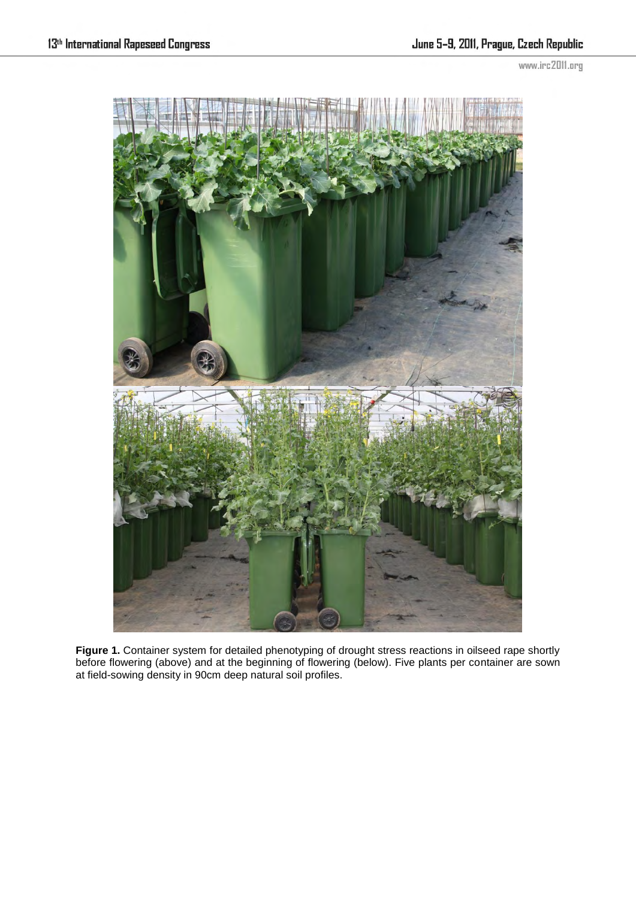www.irc2011.org



Figure 1. Container system for detailed phenotyping of drought stress reactions in oilseed rape shortly before flowering (above) and at the beginning of flowering (below). Five plants per container are sown at field-sowing density in 90cm deep natural soil profiles.